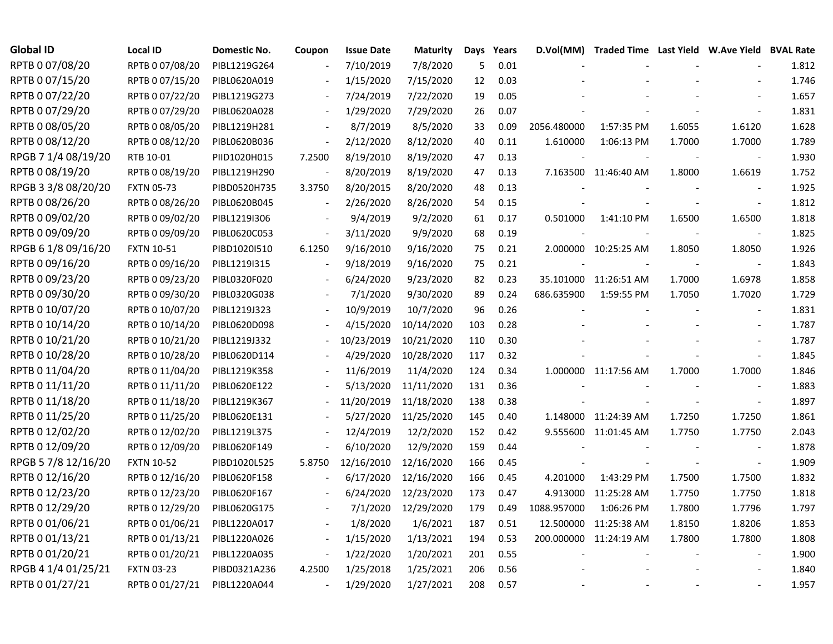| <b>Global ID</b>    | Local ID          | Domestic No. | Coupon                   | <b>Issue Date</b> | <b>Maturity</b> | Days | Years | D.Vol(MM)   | Traded Time Last Yield W.Ave Yield BVAL Rate |        |                          |       |
|---------------------|-------------------|--------------|--------------------------|-------------------|-----------------|------|-------|-------------|----------------------------------------------|--------|--------------------------|-------|
| RPTB 0 07/08/20     | RPTB 0 07/08/20   | PIBL1219G264 |                          | 7/10/2019         | 7/8/2020        | 5    | 0.01  |             |                                              |        |                          | 1.812 |
| RPTB 0 07/15/20     | RPTB 0 07/15/20   | PIBL0620A019 |                          | 1/15/2020         | 7/15/2020       | 12   | 0.03  |             |                                              |        |                          | 1.746 |
| RPTB 0 07/22/20     | RPTB 0 07/22/20   | PIBL1219G273 | $\overline{\phantom{a}}$ | 7/24/2019         | 7/22/2020       | 19   | 0.05  |             |                                              |        |                          | 1.657 |
| RPTB 0 07/29/20     | RPTB 0 07/29/20   | PIBL0620A028 | $\overline{\phantom{a}}$ | 1/29/2020         | 7/29/2020       | 26   | 0.07  |             |                                              |        |                          | 1.831 |
| RPTB 0 08/05/20     | RPTB 0 08/05/20   | PIBL1219H281 | $\overline{a}$           | 8/7/2019          | 8/5/2020        | 33   | 0.09  | 2056.480000 | 1:57:35 PM                                   | 1.6055 | 1.6120                   | 1.628 |
| RPTB 0 08/12/20     | RPTB 0 08/12/20   | PIBL0620B036 | $\overline{\phantom{a}}$ | 2/12/2020         | 8/12/2020       | 40   | 0.11  | 1.610000    | 1:06:13 PM                                   | 1.7000 | 1.7000                   | 1.789 |
| RPGB 7 1/4 08/19/20 | RTB 10-01         | PIID1020H015 | 7.2500                   | 8/19/2010         | 8/19/2020       | 47   | 0.13  |             |                                              |        |                          | 1.930 |
| RPTB 0 08/19/20     | RPTB 0 08/19/20   | PIBL1219H290 |                          | 8/20/2019         | 8/19/2020       | 47   | 0.13  |             | 7.163500 11:46:40 AM                         | 1.8000 | 1.6619                   | 1.752 |
| RPGB 3 3/8 08/20/20 | <b>FXTN 05-73</b> | PIBD0520H735 | 3.3750                   | 8/20/2015         | 8/20/2020       | 48   | 0.13  |             |                                              |        |                          | 1.925 |
| RPTB 0 08/26/20     | RPTB 0 08/26/20   | PIBL0620B045 | $\sim$                   | 2/26/2020         | 8/26/2020       | 54   | 0.15  |             |                                              |        | $\overline{\phantom{a}}$ | 1.812 |
| RPTB 0 09/02/20     | RPTB 0 09/02/20   | PIBL1219I306 |                          | 9/4/2019          | 9/2/2020        | 61   | 0.17  | 0.501000    | 1:41:10 PM                                   | 1.6500 | 1.6500                   | 1.818 |
| RPTB 0 09/09/20     | RPTB 0 09/09/20   | PIBL0620C053 |                          | 3/11/2020         | 9/9/2020        | 68   | 0.19  |             |                                              |        | $\overline{\phantom{a}}$ | 1.825 |
| RPGB 6 1/8 09/16/20 | <b>FXTN 10-51</b> | PIBD1020I510 | 6.1250                   | 9/16/2010         | 9/16/2020       | 75   | 0.21  |             | 2.000000 10:25:25 AM                         | 1.8050 | 1.8050                   | 1.926 |
| RPTB 0 09/16/20     | RPTB 0 09/16/20   | PIBL1219I315 |                          | 9/18/2019         | 9/16/2020       | 75   | 0.21  |             |                                              |        | $\overline{\phantom{a}}$ | 1.843 |
| RPTB 0 09/23/20     | RPTB 0 09/23/20   | PIBL0320F020 |                          | 6/24/2020         | 9/23/2020       | 82   | 0.23  |             | 35.101000 11:26:51 AM                        | 1.7000 | 1.6978                   | 1.858 |
| RPTB 0 09/30/20     | RPTB 0 09/30/20   | PIBL0320G038 |                          | 7/1/2020          | 9/30/2020       | 89   | 0.24  | 686.635900  | 1:59:55 PM                                   | 1.7050 | 1.7020                   | 1.729 |
| RPTB 0 10/07/20     | RPTB 0 10/07/20   | PIBL1219J323 | $\overline{a}$           | 10/9/2019         | 10/7/2020       | 96   | 0.26  |             |                                              |        |                          | 1.831 |
| RPTB 0 10/14/20     | RPTB 0 10/14/20   | PIBL0620D098 |                          | 4/15/2020         | 10/14/2020      | 103  | 0.28  |             |                                              |        |                          | 1.787 |
| RPTB 0 10/21/20     | RPTB 0 10/21/20   | PIBL1219J332 | $\frac{1}{2}$            | 10/23/2019        | 10/21/2020      | 110  | 0.30  |             |                                              |        |                          | 1.787 |
| RPTB 0 10/28/20     | RPTB 0 10/28/20   | PIBL0620D114 |                          | 4/29/2020         | 10/28/2020      | 117  | 0.32  |             |                                              |        |                          | 1.845 |
| RPTB 0 11/04/20     | RPTB 0 11/04/20   | PIBL1219K358 |                          | 11/6/2019         | 11/4/2020       | 124  | 0.34  |             | 1.000000 11:17:56 AM                         | 1.7000 | 1.7000                   | 1.846 |
| RPTB 0 11/11/20     | RPTB 0 11/11/20   | PIBL0620E122 |                          | 5/13/2020         | 11/11/2020      | 131  | 0.36  |             |                                              |        | $\overline{\phantom{a}}$ | 1.883 |
| RPTB 0 11/18/20     | RPTB 0 11/18/20   | PIBL1219K367 |                          | 11/20/2019        | 11/18/2020      | 138  | 0.38  |             |                                              |        | $\overline{\phantom{a}}$ | 1.897 |
| RPTB 0 11/25/20     | RPTB 0 11/25/20   | PIBL0620E131 |                          | 5/27/2020         | 11/25/2020      | 145  | 0.40  |             | 1.148000 11:24:39 AM                         | 1.7250 | 1.7250                   | 1.861 |
| RPTB 0 12/02/20     | RPTB 0 12/02/20   | PIBL1219L375 |                          | 12/4/2019         | 12/2/2020       | 152  | 0.42  |             | 9.555600 11:01:45 AM                         | 1.7750 | 1.7750                   | 2.043 |
| RPTB 0 12/09/20     | RPTB 0 12/09/20   | PIBL0620F149 |                          | 6/10/2020         | 12/9/2020       | 159  | 0.44  |             |                                              |        |                          | 1.878 |
| RPGB 57/8 12/16/20  | <b>FXTN 10-52</b> | PIBD1020L525 | 5.8750                   | 12/16/2010        | 12/16/2020      | 166  | 0.45  |             |                                              |        | $\blacksquare$           | 1.909 |
| RPTB 0 12/16/20     | RPTB 0 12/16/20   | PIBL0620F158 |                          | 6/17/2020         | 12/16/2020      | 166  | 0.45  | 4.201000    | 1:43:29 PM                                   | 1.7500 | 1.7500                   | 1.832 |
| RPTB 0 12/23/20     | RPTB 0 12/23/20   | PIBL0620F167 |                          | 6/24/2020         | 12/23/2020      | 173  | 0.47  |             | 4.913000 11:25:28 AM                         | 1.7750 | 1.7750                   | 1.818 |
| RPTB 0 12/29/20     | RPTB 0 12/29/20   | PIBL0620G175 | $\sim$                   | 7/1/2020          | 12/29/2020      | 179  | 0.49  | 1088.957000 | 1:06:26 PM                                   | 1.7800 | 1.7796                   | 1.797 |
| RPTB 0 01/06/21     | RPTB 0 01/06/21   | PIBL1220A017 | $\overline{\phantom{a}}$ | 1/8/2020          | 1/6/2021        | 187  | 0.51  |             | 12.500000 11:25:38 AM                        | 1.8150 | 1.8206                   | 1.853 |
| RPTB 0 01/13/21     | RPTB 0 01/13/21   | PIBL1220A026 | $\blacksquare$           | 1/15/2020         | 1/13/2021       | 194  | 0.53  |             | 200.000000 11:24:19 AM                       | 1.7800 | 1.7800                   | 1.808 |
| RPTB 0 01/20/21     | RPTB 0 01/20/21   | PIBL1220A035 | $\overline{a}$           | 1/22/2020         | 1/20/2021       | 201  | 0.55  |             |                                              |        |                          | 1.900 |
| RPGB 4 1/4 01/25/21 | <b>FXTN 03-23</b> | PIBD0321A236 | 4.2500                   | 1/25/2018         | 1/25/2021       | 206  | 0.56  |             |                                              |        |                          | 1.840 |
| RPTB 0 01/27/21     | RPTB 0 01/27/21   | PIBL1220A044 | $\sim$                   | 1/29/2020         | 1/27/2021       | 208  | 0.57  |             |                                              |        |                          | 1.957 |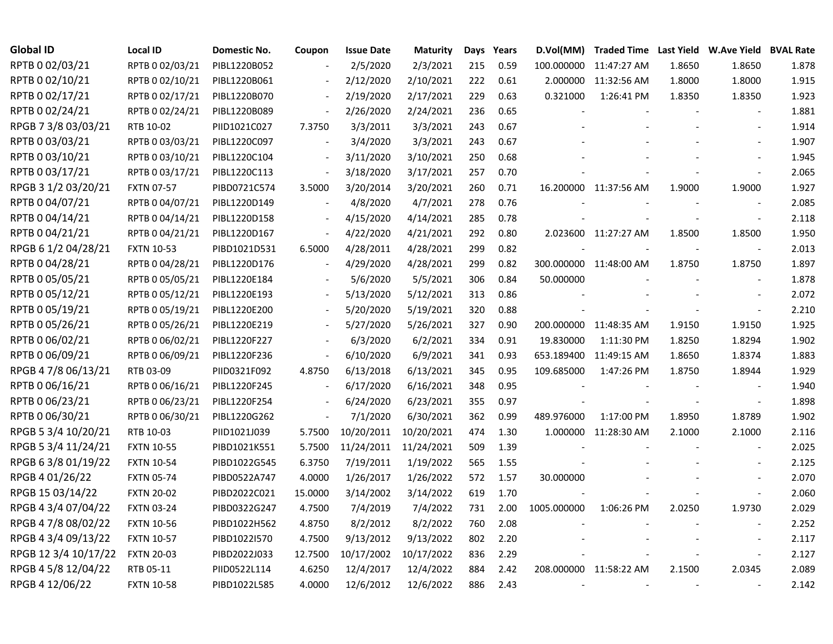| <b>Global ID</b>     | Local ID          | Domestic No. | Coupon                   | <b>Issue Date</b> | <b>Maturity</b> | Days | Years | D.Vol(MM)   | Traded Time Last Yield W.Ave Yield BVAL Rate |        |        |       |
|----------------------|-------------------|--------------|--------------------------|-------------------|-----------------|------|-------|-------------|----------------------------------------------|--------|--------|-------|
| RPTB 0 02/03/21      | RPTB 0 02/03/21   | PIBL1220B052 |                          | 2/5/2020          | 2/3/2021        | 215  | 0.59  |             | 100.000000 11:47:27 AM                       | 1.8650 | 1.8650 | 1.878 |
| RPTB 0 02/10/21      | RPTB 0 02/10/21   | PIBL1220B061 |                          | 2/12/2020         | 2/10/2021       | 222  | 0.61  |             | 2.000000 11:32:56 AM                         | 1.8000 | 1.8000 | 1.915 |
| RPTB 0 02/17/21      | RPTB 0 02/17/21   | PIBL1220B070 |                          | 2/19/2020         | 2/17/2021       | 229  | 0.63  | 0.321000    | 1:26:41 PM                                   | 1.8350 | 1.8350 | 1.923 |
| RPTB 0 02/24/21      | RPTB 0 02/24/21   | PIBL1220B089 | $\overline{\phantom{a}}$ | 2/26/2020         | 2/24/2021       | 236  | 0.65  |             |                                              |        |        | 1.881 |
| RPGB 7 3/8 03/03/21  | RTB 10-02         | PIID1021C027 | 7.3750                   | 3/3/2011          | 3/3/2021        | 243  | 0.67  |             |                                              |        |        | 1.914 |
| RPTB 0 03/03/21      | RPTB 0 03/03/21   | PIBL1220C097 | $\sim$                   | 3/4/2020          | 3/3/2021        | 243  | 0.67  |             |                                              |        |        | 1.907 |
| RPTB 0 03/10/21      | RPTB 0 03/10/21   | PIBL1220C104 | $\overline{a}$           | 3/11/2020         | 3/10/2021       | 250  | 0.68  |             |                                              |        |        | 1.945 |
| RPTB 0 03/17/21      | RPTB 0 03/17/21   | PIBL1220C113 | $\overline{\phantom{a}}$ | 3/18/2020         | 3/17/2021       | 257  | 0.70  |             |                                              |        |        | 2.065 |
| RPGB 3 1/2 03/20/21  | <b>FXTN 07-57</b> | PIBD0721C574 | 3.5000                   | 3/20/2014         | 3/20/2021       | 260  | 0.71  |             | 16.200000 11:37:56 AM                        | 1.9000 | 1.9000 | 1.927 |
| RPTB 0 04/07/21      | RPTB 0 04/07/21   | PIBL1220D149 |                          | 4/8/2020          | 4/7/2021        | 278  | 0.76  |             |                                              |        |        | 2.085 |
| RPTB 0 04/14/21      | RPTB 0 04/14/21   | PIBL1220D158 |                          | 4/15/2020         | 4/14/2021       | 285  | 0.78  |             |                                              |        |        | 2.118 |
| RPTB 0 04/21/21      | RPTB 0 04/21/21   | PIBL1220D167 |                          | 4/22/2020         | 4/21/2021       | 292  | 0.80  |             | 2.023600 11:27:27 AM                         | 1.8500 | 1.8500 | 1.950 |
| RPGB 6 1/2 04/28/21  | <b>FXTN 10-53</b> | PIBD1021D531 | 6.5000                   | 4/28/2011         | 4/28/2021       | 299  | 0.82  |             |                                              |        |        | 2.013 |
| RPTB 0 04/28/21      | RPTB 0 04/28/21   | PIBL1220D176 |                          | 4/29/2020         | 4/28/2021       | 299  | 0.82  |             | 300.000000 11:48:00 AM                       | 1.8750 | 1.8750 | 1.897 |
| RPTB 0 05/05/21      | RPTB 0 05/05/21   | PIBL1220E184 |                          | 5/6/2020          | 5/5/2021        | 306  | 0.84  | 50.000000   |                                              |        |        | 1.878 |
| RPTB 0 05/12/21      | RPTB 0 05/12/21   | PIBL1220E193 | $\overline{\phantom{a}}$ | 5/13/2020         | 5/12/2021       | 313  | 0.86  |             |                                              |        |        | 2.072 |
| RPTB 0 05/19/21      | RPTB 0 05/19/21   | PIBL1220E200 | $\overline{\phantom{a}}$ | 5/20/2020         | 5/19/2021       | 320  | 0.88  |             |                                              |        |        | 2.210 |
| RPTB 0 05/26/21      | RPTB 0 05/26/21   | PIBL1220E219 | $\overline{a}$           | 5/27/2020         | 5/26/2021       | 327  | 0.90  |             | 200.000000 11:48:35 AM                       | 1.9150 | 1.9150 | 1.925 |
| RPTB 0 06/02/21      | RPTB 0 06/02/21   | PIBL1220F227 |                          | 6/3/2020          | 6/2/2021        | 334  | 0.91  | 19.830000   | 1:11:30 PM                                   | 1.8250 | 1.8294 | 1.902 |
| RPTB 0 06/09/21      | RPTB 0 06/09/21   | PIBL1220F236 | $\overline{a}$           | 6/10/2020         | 6/9/2021        | 341  | 0.93  |             | 653.189400 11:49:15 AM                       | 1.8650 | 1.8374 | 1.883 |
| RPGB 4 7/8 06/13/21  | RTB 03-09         | PIID0321F092 | 4.8750                   | 6/13/2018         | 6/13/2021       | 345  | 0.95  | 109.685000  | 1:47:26 PM                                   | 1.8750 | 1.8944 | 1.929 |
| RPTB 0 06/16/21      | RPTB 0 06/16/21   | PIBL1220F245 | $\sim$                   | 6/17/2020         | 6/16/2021       | 348  | 0.95  |             |                                              |        |        | 1.940 |
| RPTB 0 06/23/21      | RPTB 0 06/23/21   | PIBL1220F254 |                          | 6/24/2020         | 6/23/2021       | 355  | 0.97  |             |                                              |        |        | 1.898 |
| RPTB 0 06/30/21      | RPTB 0 06/30/21   | PIBL1220G262 | $\overline{a}$           | 7/1/2020          | 6/30/2021       | 362  | 0.99  | 489.976000  | 1:17:00 PM                                   | 1.8950 | 1.8789 | 1.902 |
| RPGB 5 3/4 10/20/21  | RTB 10-03         | PIID1021J039 | 5.7500                   | 10/20/2011        | 10/20/2021      | 474  | 1.30  |             | 1.000000 11:28:30 AM                         | 2.1000 | 2.1000 | 2.116 |
| RPGB 5 3/4 11/24/21  | <b>FXTN 10-55</b> | PIBD1021K551 | 5.7500                   | 11/24/2011        | 11/24/2021      | 509  | 1.39  |             |                                              |        |        | 2.025 |
| RPGB 63/8 01/19/22   | <b>FXTN 10-54</b> | PIBD1022G545 | 6.3750                   | 7/19/2011         | 1/19/2022       | 565  | 1.55  |             |                                              |        |        | 2.125 |
| RPGB 4 01/26/22      | <b>FXTN 05-74</b> | PIBD0522A747 | 4.0000                   | 1/26/2017         | 1/26/2022       | 572  | 1.57  | 30.000000   |                                              |        |        | 2.070 |
| RPGB 15 03/14/22     | <b>FXTN 20-02</b> | PIBD2022C021 | 15.0000                  | 3/14/2002         | 3/14/2022       | 619  | 1.70  |             |                                              |        |        | 2.060 |
| RPGB 4 3/4 07/04/22  | <b>FXTN 03-24</b> | PIBD0322G247 | 4.7500                   | 7/4/2019          | 7/4/2022        | 731  | 2.00  | 1005.000000 | 1:06:26 PM                                   | 2.0250 | 1.9730 | 2.029 |
| RPGB 4 7/8 08/02/22  | <b>FXTN 10-56</b> | PIBD1022H562 | 4.8750                   | 8/2/2012          | 8/2/2022        | 760  | 2.08  |             |                                              |        |        | 2.252 |
| RPGB 4 3/4 09/13/22  | <b>FXTN 10-57</b> | PIBD1022I570 | 4.7500                   | 9/13/2012         | 9/13/2022       | 802  | 2.20  |             |                                              |        |        | 2.117 |
| RPGB 12 3/4 10/17/22 | <b>FXTN 20-03</b> | PIBD2022J033 | 12.7500                  | 10/17/2002        | 10/17/2022      | 836  | 2.29  |             |                                              |        |        | 2.127 |
| RPGB 4 5/8 12/04/22  | RTB 05-11         | PIID0522L114 | 4.6250                   | 12/4/2017         | 12/4/2022       | 884  | 2.42  |             | 208.000000 11:58:22 AM                       | 2.1500 | 2.0345 | 2.089 |
| RPGB 4 12/06/22      | <b>FXTN 10-58</b> | PIBD1022L585 | 4.0000                   | 12/6/2012         | 12/6/2022       | 886  | 2.43  |             |                                              |        |        | 2.142 |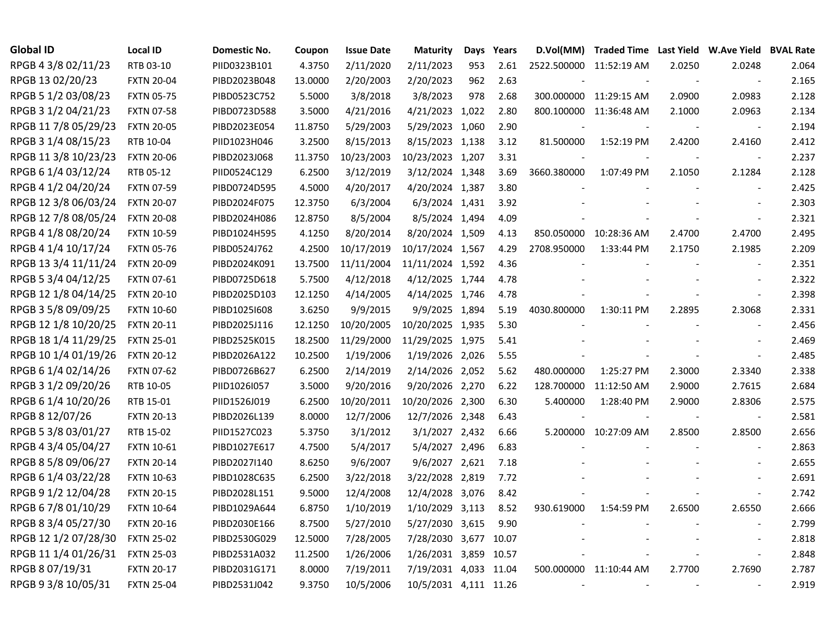| <b>Global ID</b>     | <b>Local ID</b>   | Domestic No. | Coupon  | <b>Issue Date</b> | <b>Maturity</b>       | Days | Years | D.Vol(MM)                | Traded Time Last Yield W.Ave Yield BVAL Rate |        |                          |       |
|----------------------|-------------------|--------------|---------|-------------------|-----------------------|------|-------|--------------------------|----------------------------------------------|--------|--------------------------|-------|
| RPGB 4 3/8 02/11/23  | RTB 03-10         | PIID0323B101 | 4.3750  | 2/11/2020         | 2/11/2023             | 953  | 2.61  | 2522.500000 11:52:19 AM  |                                              | 2.0250 | 2.0248                   | 2.064 |
| RPGB 13 02/20/23     | <b>FXTN 20-04</b> | PIBD2023B048 | 13.0000 | 2/20/2003         | 2/20/2023             | 962  | 2.63  |                          |                                              |        | $\overline{\phantom{a}}$ | 2.165 |
| RPGB 5 1/2 03/08/23  | <b>FXTN 05-75</b> | PIBD0523C752 | 5.5000  | 3/8/2018          | 3/8/2023              | 978  | 2.68  |                          | 300.000000 11:29:15 AM                       | 2.0900 | 2.0983                   | 2.128 |
| RPGB 3 1/2 04/21/23  | <b>FXTN 07-58</b> | PIBD0723D588 | 3.5000  | 4/21/2016         | 4/21/2023 1,022       |      | 2.80  |                          | 800.100000 11:36:48 AM                       | 2.1000 | 2.0963                   | 2.134 |
| RPGB 11 7/8 05/29/23 | <b>FXTN 20-05</b> | PIBD2023E054 | 11.8750 | 5/29/2003         | 5/29/2023 1,060       |      | 2.90  |                          |                                              |        | $\blacksquare$           | 2.194 |
| RPGB 3 1/4 08/15/23  | RTB 10-04         | PIID1023H046 | 3.2500  | 8/15/2013         | 8/15/2023 1,138       |      | 3.12  | 81.500000                | 1:52:19 PM                                   | 2.4200 | 2.4160                   | 2.412 |
| RPGB 11 3/8 10/23/23 | <b>FXTN 20-06</b> | PIBD2023J068 | 11.3750 | 10/23/2003        | 10/23/2023 1,207      |      | 3.31  |                          |                                              |        | $\blacksquare$           | 2.237 |
| RPGB 6 1/4 03/12/24  | RTB 05-12         | PIID0524C129 | 6.2500  | 3/12/2019         | 3/12/2024 1,348       |      | 3.69  | 3660.380000              | 1:07:49 PM                                   | 2.1050 | 2.1284                   | 2.128 |
| RPGB 4 1/2 04/20/24  | <b>FXTN 07-59</b> | PIBD0724D595 | 4.5000  | 4/20/2017         | 4/20/2024 1,387       |      | 3.80  |                          |                                              |        | $\overline{\phantom{a}}$ | 2.425 |
| RPGB 12 3/8 06/03/24 | <b>FXTN 20-07</b> | PIBD2024F075 | 12.3750 | 6/3/2004          | 6/3/2024 1,431        |      | 3.92  |                          |                                              |        | $\overline{\phantom{a}}$ | 2.303 |
| RPGB 12 7/8 08/05/24 | <b>FXTN 20-08</b> | PIBD2024H086 | 12.8750 | 8/5/2004          | 8/5/2024 1,494        |      | 4.09  |                          |                                              |        | $\sim$                   | 2.321 |
| RPGB 4 1/8 08/20/24  | <b>FXTN 10-59</b> | PIBD1024H595 | 4.1250  | 8/20/2014         | 8/20/2024 1,509       |      | 4.13  |                          | 850.050000 10:28:36 AM                       | 2.4700 | 2.4700                   | 2.495 |
| RPGB 4 1/4 10/17/24  | <b>FXTN 05-76</b> | PIBD0524J762 | 4.2500  | 10/17/2019        | 10/17/2024 1,567      |      | 4.29  | 2708.950000              | 1:33:44 PM                                   | 2.1750 | 2.1985                   | 2.209 |
| RPGB 13 3/4 11/11/24 | <b>FXTN 20-09</b> | PIBD2024K091 | 13.7500 | 11/11/2004        | 11/11/2024 1,592      |      | 4.36  |                          |                                              |        |                          | 2.351 |
| RPGB 5 3/4 04/12/25  | FXTN 07-61        | PIBD0725D618 | 5.7500  | 4/12/2018         | 4/12/2025 1,744       |      | 4.78  |                          |                                              |        |                          | 2.322 |
| RPGB 12 1/8 04/14/25 | <b>FXTN 20-10</b> | PIBD2025D103 | 12.1250 | 4/14/2005         | 4/14/2025 1,746       |      | 4.78  |                          |                                              |        | $\overline{\phantom{a}}$ | 2.398 |
| RPGB 3 5/8 09/09/25  | <b>FXTN 10-60</b> | PIBD1025I608 | 3.6250  | 9/9/2015          | 9/9/2025 1,894        |      | 5.19  | 4030.800000              | 1:30:11 PM                                   | 2.2895 | 2.3068                   | 2.331 |
| RPGB 12 1/8 10/20/25 | <b>FXTN 20-11</b> | PIBD2025J116 | 12.1250 | 10/20/2005        | 10/20/2025 1,935      |      | 5.30  |                          |                                              |        |                          | 2.456 |
| RPGB 18 1/4 11/29/25 | <b>FXTN 25-01</b> | PIBD2525K015 | 18.2500 | 11/29/2000        | 11/29/2025 1,975      |      | 5.41  |                          |                                              |        |                          | 2.469 |
| RPGB 10 1/4 01/19/26 | <b>FXTN 20-12</b> | PIBD2026A122 | 10.2500 | 1/19/2006         | 1/19/2026 2,026       |      | 5.55  |                          |                                              |        |                          | 2.485 |
| RPGB 6 1/4 02/14/26  | <b>FXTN 07-62</b> | PIBD0726B627 | 6.2500  | 2/14/2019         | 2/14/2026 2,052       |      | 5.62  | 480.000000               | 1:25:27 PM                                   | 2.3000 | 2.3340                   | 2.338 |
| RPGB 3 1/2 09/20/26  | RTB 10-05         | PIID1026I057 | 3.5000  | 9/20/2016         | 9/20/2026 2,270       |      | 6.22  | 128.700000               | 11:12:50 AM                                  | 2.9000 | 2.7615                   | 2.684 |
| RPGB 6 1/4 10/20/26  | RTB 15-01         | PIID1526J019 | 6.2500  | 10/20/2011        | 10/20/2026 2,300      |      | 6.30  | 5.400000                 | 1:28:40 PM                                   | 2.9000 | 2.8306                   | 2.575 |
| RPGB 8 12/07/26      | <b>FXTN 20-13</b> | PIBD2026L139 | 8.0000  | 12/7/2006         | 12/7/2026 2,348       |      | 6.43  | $\overline{\phantom{a}}$ |                                              |        | $\overline{\phantom{a}}$ | 2.581 |
| RPGB 5 3/8 03/01/27  | RTB 15-02         | PIID1527C023 | 5.3750  | 3/1/2012          | 3/1/2027 2,432        |      | 6.66  |                          | 5.200000 10:27:09 AM                         | 2.8500 | 2.8500                   | 2.656 |
| RPGB 4 3/4 05/04/27  | <b>FXTN 10-61</b> | PIBD1027E617 | 4.7500  | 5/4/2017          | 5/4/2027 2,496        |      | 6.83  |                          |                                              |        | $\blacksquare$           | 2.863 |
| RPGB 8 5/8 09/06/27  | <b>FXTN 20-14</b> | PIBD2027I140 | 8.6250  | 9/6/2007          | 9/6/2027 2,621        |      | 7.18  |                          |                                              |        | $\blacksquare$           | 2.655 |
| RPGB 6 1/4 03/22/28  | <b>FXTN 10-63</b> | PIBD1028C635 | 6.2500  | 3/22/2018         | 3/22/2028 2,819       |      | 7.72  |                          |                                              |        |                          | 2.691 |
| RPGB 9 1/2 12/04/28  | <b>FXTN 20-15</b> | PIBD2028L151 | 9.5000  | 12/4/2008         | 12/4/2028 3,076       |      | 8.42  |                          |                                              |        |                          | 2.742 |
| RPGB 67/8 01/10/29   | <b>FXTN 10-64</b> | PIBD1029A644 | 6.8750  | 1/10/2019         | 1/10/2029 3,113       |      | 8.52  | 930.619000               | 1:54:59 PM                                   | 2.6500 | 2.6550                   | 2.666 |
| RPGB 8 3/4 05/27/30  | <b>FXTN 20-16</b> | PIBD2030E166 | 8.7500  | 5/27/2010         | 5/27/2030 3,615       |      | 9.90  |                          |                                              |        | $\blacksquare$           | 2.799 |
| RPGB 12 1/2 07/28/30 | <b>FXTN 25-02</b> | PIBD2530G029 | 12.5000 | 7/28/2005         | 7/28/2030 3,677 10.07 |      |       |                          |                                              |        | $\blacksquare$           | 2.818 |
| RPGB 11 1/4 01/26/31 | <b>FXTN 25-03</b> | PIBD2531A032 | 11.2500 | 1/26/2006         | 1/26/2031 3,859 10.57 |      |       |                          |                                              |        | $\overline{\phantom{a}}$ | 2.848 |
| RPGB 8 07/19/31      | <b>FXTN 20-17</b> | PIBD2031G171 | 8.0000  | 7/19/2011         | 7/19/2031 4,033 11.04 |      |       |                          | 500.000000 11:10:44 AM                       | 2.7700 | 2.7690                   | 2.787 |
| RPGB 9 3/8 10/05/31  | <b>FXTN 25-04</b> | PIBD2531J042 | 9.3750  | 10/5/2006         | 10/5/2031 4,111 11.26 |      |       |                          |                                              |        |                          | 2.919 |